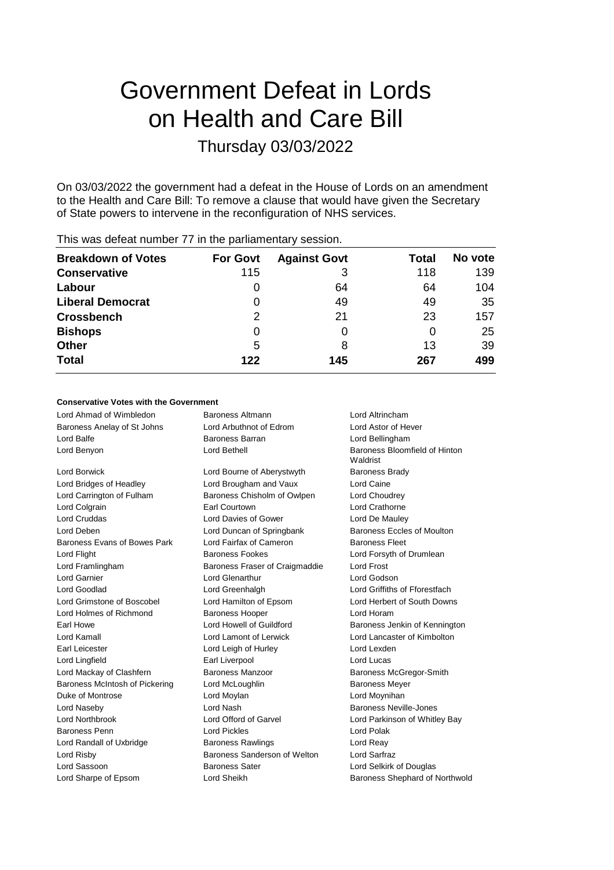# Government Defeat in Lords on Health and Care Bill

## Thursday 03/03/2022

On 03/03/2022 the government had a defeat in the House of Lords on an amendment to the Health and Care Bill: To remove a clause that would have given the Secretary of State powers to intervene in the reconfiguration of NHS services.

| <b>Breakdown of Votes</b> | <b>For Govt</b> | <b>Against Govt</b> | Total | No vote |
|---------------------------|-----------------|---------------------|-------|---------|
| <b>Conservative</b>       | 115             | 3                   | 118   | 139     |
| Labour                    | O               | 64                  | 64    | 104     |
| <b>Liberal Democrat</b>   | 0               | 49                  | 49    | 35      |
| <b>Crossbench</b>         | 2               | 21                  | 23    | 157     |
| <b>Bishops</b>            | 0               |                     | 0     | 25      |
| Other                     | 5               | 8                   | 13    | 39      |
| <b>Total</b>              | 122             | 145                 | 267   | 499     |
|                           |                 |                     |       |         |

#### This was defeat number 77 in the parliamentary session.

#### **Conservative Votes with the Government**

Lord Ahmad of Wimbledon Baroness Altmann Lord Altrincham Baroness Anelay of St Johns Lord Arbuthnot of Edrom Lord Astor of Hever Lord Balfe Baroness Barran Lord Bellingham

Lord Borwick Lord Bourne of Aberystwyth Baroness Brady Lord Bridges of Headley Lord Brougham and Vaux Lord Caine Lord Carrington of Fulham Baroness Chisholm of Owlpen Lord Choudrey Lord Colgrain Earl Courtown Lord Crathorne Lord Cruddas Lord Davies of Gower Lord De Mauley Lord Deben Lord Duncan of Springbank Baroness Eccles of Moulton Baroness Evans of Bowes Park Lord Fairfax of Cameron Baroness Fleet Lord Flight Baroness Fookes Lord Forsyth of Drumlean Lord Framlingham Baroness Fraser of Craigmaddie Lord Frost Lord Garnier Lord Glenarthur Lord Godson Lord Goodlad Lord Greenhalgh Lord Griffiths of Fforestfach Lord Grimstone of Boscobel Lord Hamilton of Epsom Lord Herbert of South Downs Lord Holmes of Richmond Baroness Hooper Correct Lord Horam Earl Howe **Lord Howell of Guildford** Baroness Jenkin of Kennington Lord Kamall Lord Lamont of Lerwick Lord Lancaster of Kimbolton Earl Leicester **Lord Leigh of Hurley Lord Lexden** Lord Lexden Lord Lingfield Earl Liverpool Lord Lucas Lord Mackay of Clashfern Baroness Manzoor Baroness McGregor-Smith Baroness McIntosh of Pickering Lord McLoughlin **Baroness Meyer** Baroness Meyer Duke of Montrose **Lord Moylan** Lord Moylan Lord Moynihan Lord Naseby **Lord Nash Baroness Neville-Jones** Corresponding to the Mash Baroness Neville-Jones Lord Northbrook Lord Offord of Garvel Lord Parkinson of Whitley Bay Baroness Penn Lord Pickles Lord Polak Lord Randall of Uxbridge **Baroness Rawlings Lord Reay** Lord Risby Baroness Sanderson of Welton Lord Sarfraz Lord Sassoon Baroness Sater Lord Selkirk of Douglas

Lord Sharpe of Epsom Cord Sheikh Baroness Shephard of Northwold

Lord Benyon Lord Bethell Baroness Bloomfield of Hinton Waldrist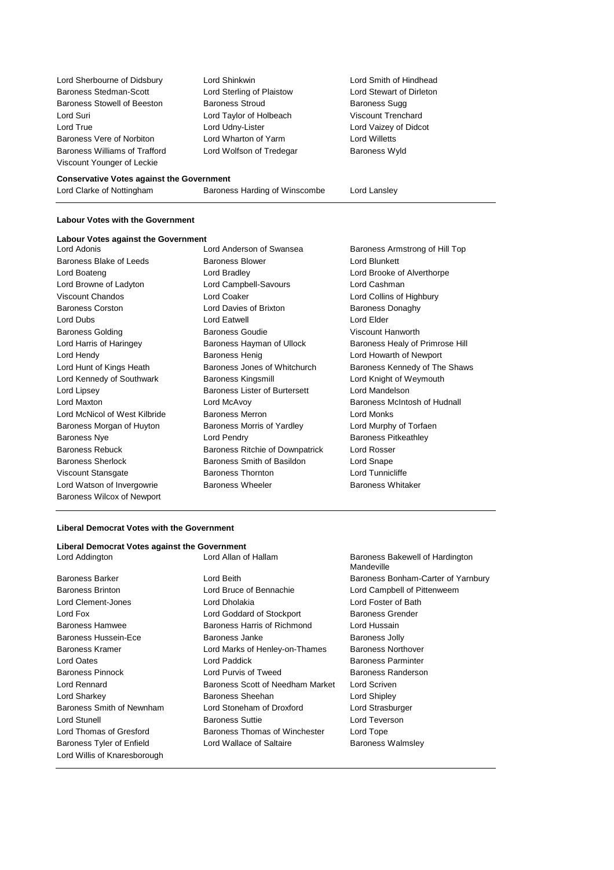Lord Sherbourne of Didsbury Lord Shinkwin Lord Smith of Hindhead Baroness Stedman-Scott Lord Sterling of Plaistow Lord Stewart of Dirleton Baroness Stowell of Beeston Baroness Stroud Baroness Sugg Lord Suri Lord Taylor of Holbeach Viscount Trenchard Lord True Lord Udny-Lister Lord Vaizey of Didcot Baroness Vere of Norbiton Lord Wharton of Yarm Lord Willetts Baroness Williams of Trafford Lord Wolfson of Tredegar Baroness Wyld Viscount Younger of Leckie

#### **Conservative Votes against the Government**

| Lord Clarke of Nottingham | Baroness Harding of Winscombe | Lord Lansley |
|---------------------------|-------------------------------|--------------|
|---------------------------|-------------------------------|--------------|

#### **Labour Votes with the Government**

#### **Labour Votes against the Government**

Baroness Blake of Leeds **Baroness Blower** Baroness Blower **Lord Blunkett** Lord Boateng Lord Bradley Lord Brooke of Alverthorpe Lord Browne of Ladyton Lord Campbell-Savours Lord Cashman Viscount Chandos Lord Coaker Lord Collins of Highbury Baroness Corston **Corston Corporation** Lord Davies of Brixton **Baroness Donaghy** Lord Dubs Lord Eatwell Lord Elder Baroness Golding Baroness Goudie Viscount Hanworth Lord Hendy Baroness Henig Lord Howarth of Newport Lord Kennedy of Southwark Baroness Kingsmill **Lord Knight of Weymouth** Lord Lipsey Baroness Lister of Burtersett Lord Mandelson Lord Maxton Lord McAvoy Baroness McIntosh of Hudnall Lord McNicol of West Kilbride Baroness Merron **Baroness Merron** Lord Monks Baroness Morgan of Huyton Baroness Morris of Yardley **Lord Murphy of Torfaen** Baroness Nye **Lord Pendry Baroness Pitkeathley** Baroness Rebuck Baroness Ritchie of Downpatrick Lord Rosser Baroness Sherlock Baroness Smith of Basildon Lord Snape Viscount Stansgate Baroness Thornton Lord Tunnicliffe Lord Watson of Invergowrie **Baroness Wheeler** Baroness Wheeler Baroness Whitaker Baroness Wilcox of Newport

Lord Adonis Lord Anderson of Swansea Baroness Armstrong of Hill Top

Lord Harris of Haringey **Baroness Hayman of Ullock** Baroness Healy of Primrose Hill Lord Hunt of Kings Heath Baroness Jones of Whitchurch Baroness Kennedy of The Shaws

#### **Liberal Democrat Votes with the Government**

#### **Liberal Democrat Votes against the Government**

Lord Addington **Lord Allan of Hallam** Baroness Bakewell of Hardington

- Lord Willis of Knaresborough
- Baroness Brinton Lord Bruce of Bennachie Lord Campbell of Pittenweem Lord Clement-Jones Lord Dholakia Lord Foster of Bath Lord Fox **Lord Goddard of Stockport** Baroness Grender Baroness Hamwee **Baroness Harris of Richmond** Lord Hussain Baroness Hussein-Ece **Baroness Janke** Baroness Jolly Baroness Kramer **Lord Marks of Henley-on-Thames** Baroness Northover Lord Oates Lord Paddick Baroness Parminter Baroness Pinnock **Lord Purvis of Tweed** Baroness Randerson Lord Rennard Baroness Scott of Needham Market Lord Scriven Lord Sharkey **Baroness Sheehan** Lord Shipley **Lord Shipley** Baroness Smith of Newnham Lord Stoneham of Droxford Lord Strasburger Lord Stunell Baroness Suttie Lord Teverson Lord Thomas of Gresford **Baroness Thomas of Winchester** Lord Tope Baroness Tyler of Enfield **Lord Wallace of Saltaire** Baroness Walmsley
- Mandeville Baroness Barker **Lord Beith** Baroness Bonham-Carter of Yarnbury